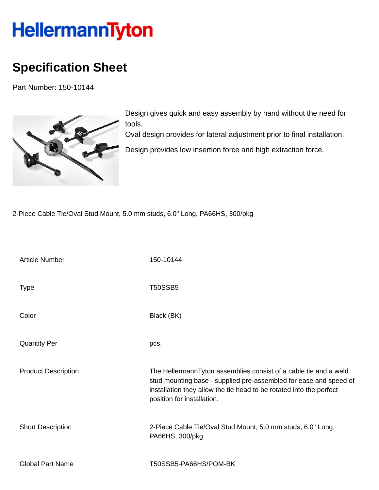## HellermannTyton

## **Specification Sheet**

Part Number: 150-10144



Design gives quick and easy assembly by hand without the need for tools.

Oval design provides for lateral adjustment prior to final installation.

Design provides low insertion force and high extraction force.

2-Piece Cable Tie/Oval Stud Mount, 5.0 mm studs, 6.0" Long, PA66HS, 300/pkg

| <b>Article Number</b>      | 150-10144                                                                                                                                                                                                                                  |
|----------------------------|--------------------------------------------------------------------------------------------------------------------------------------------------------------------------------------------------------------------------------------------|
| <b>Type</b>                | <b>T50SSB5</b>                                                                                                                                                                                                                             |
| Color                      | Black (BK)                                                                                                                                                                                                                                 |
| <b>Quantity Per</b>        | pcs.                                                                                                                                                                                                                                       |
| <b>Product Description</b> | The HellermannTyton assemblies consist of a cable tie and a weld<br>stud mounting base - supplied pre-assembled for ease and speed of<br>installation they allow the tie head to be rotated into the perfect<br>position for installation. |
| <b>Short Description</b>   | 2-Piece Cable Tie/Oval Stud Mount, 5.0 mm studs, 6.0" Long,<br>PA66HS, 300/pkg                                                                                                                                                             |
| <b>Global Part Name</b>    | T50SSB5-PA66HS/POM-BK                                                                                                                                                                                                                      |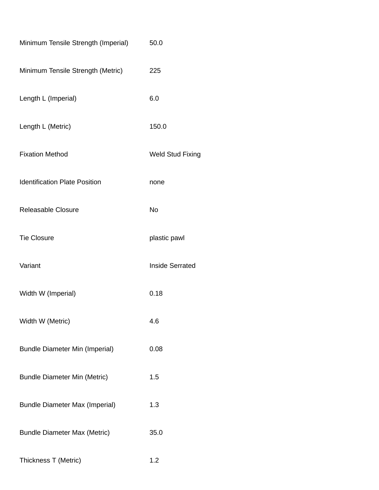| Minimum Tensile Strength (Imperial)   | 50.0                    |
|---------------------------------------|-------------------------|
| Minimum Tensile Strength (Metric)     | 225                     |
| Length L (Imperial)                   | 6.0                     |
| Length L (Metric)                     | 150.0                   |
| <b>Fixation Method</b>                | <b>Weld Stud Fixing</b> |
| <b>Identification Plate Position</b>  | none                    |
| Releasable Closure                    | No                      |
| <b>Tie Closure</b>                    | plastic pawl            |
| Variant                               | <b>Inside Serrated</b>  |
| Width W (Imperial)                    | 0.18                    |
| Width W (Metric)                      | 4.6                     |
| <b>Bundle Diameter Min (Imperial)</b> | 0.08                    |
| <b>Bundle Diameter Min (Metric)</b>   | 1.5                     |
| <b>Bundle Diameter Max (Imperial)</b> | 1.3                     |
| <b>Bundle Diameter Max (Metric)</b>   | 35.0                    |
| Thickness T (Metric)                  | 1.2                     |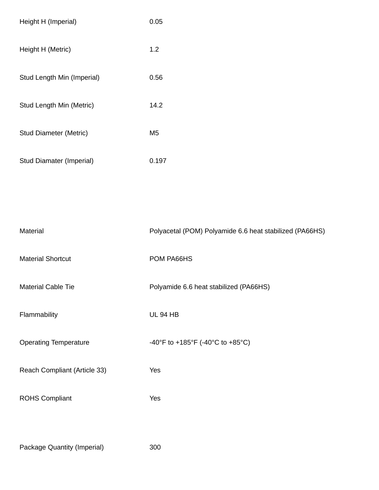| Height H (Imperial)             | 0.05  |
|---------------------------------|-------|
| Height H (Metric)               | 1.2   |
| Stud Length Min (Imperial)      | 0.56  |
| Stud Length Min (Metric)        | 14.2  |
| Stud Diameter (Metric)          | M5    |
| <b>Stud Diamater (Imperial)</b> | 0.197 |

| Material                     | Polyacetal (POM) Polyamide 6.6 heat stabilized (PA66HS) |
|------------------------------|---------------------------------------------------------|
| <b>Material Shortcut</b>     | POM PA66HS                                              |
| <b>Material Cable Tie</b>    | Polyamide 6.6 heat stabilized (PA66HS)                  |
| Flammability                 | <b>UL 94 HB</b>                                         |
| <b>Operating Temperature</b> | -40°F to +185°F (-40°C to +85°C)                        |
| Reach Compliant (Article 33) | Yes                                                     |
| <b>ROHS Compliant</b>        | Yes                                                     |
|                              |                                                         |

Package Quantity (Imperial) 300